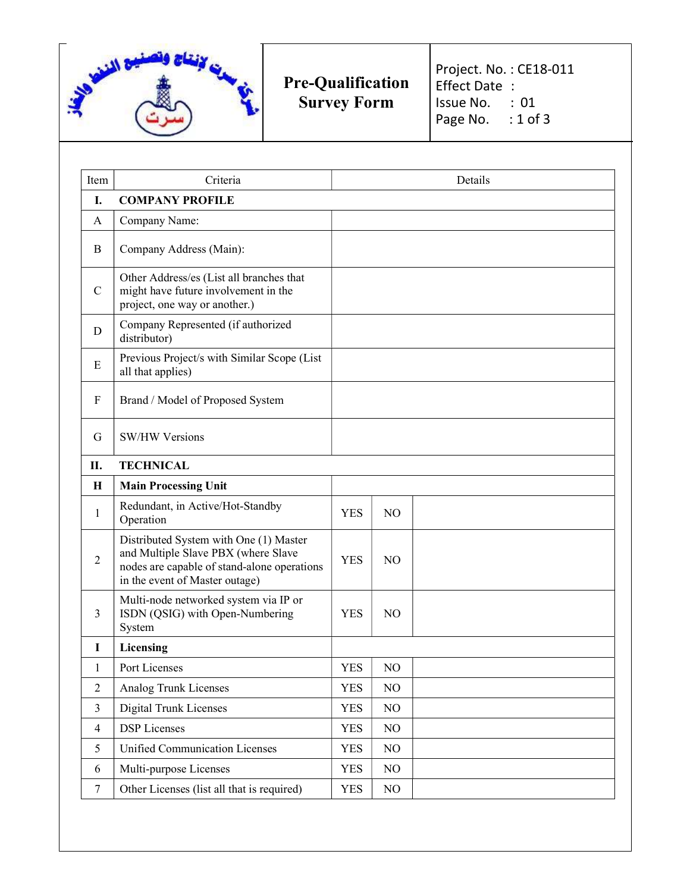

Pre-Qualification Survey Form

Project. No. : CE18-011 Effect Date : Issue No. : 01 Page No. : 1 of 3

| Item           | Criteria                                                                                                                                                       | Details    |                |  |
|----------------|----------------------------------------------------------------------------------------------------------------------------------------------------------------|------------|----------------|--|
| I.             | <b>COMPANY PROFILE</b>                                                                                                                                         |            |                |  |
| A              | Company Name:                                                                                                                                                  |            |                |  |
| B              | Company Address (Main):                                                                                                                                        |            |                |  |
| $\mathbf C$    | Other Address/es (List all branches that<br>might have future involvement in the<br>project, one way or another.)                                              |            |                |  |
| D              | Company Represented (if authorized<br>distributor)                                                                                                             |            |                |  |
| Ε              | Previous Project/s with Similar Scope (List<br>all that applies)                                                                                               |            |                |  |
| F              | Brand / Model of Proposed System                                                                                                                               |            |                |  |
| G              | <b>SW/HW Versions</b>                                                                                                                                          |            |                |  |
| П.             | <b>TECHNICAL</b>                                                                                                                                               |            |                |  |
| H              | <b>Main Processing Unit</b>                                                                                                                                    |            |                |  |
| $\mathbf{1}$   | Redundant, in Active/Hot-Standby<br>Operation                                                                                                                  | <b>YES</b> | N <sub>O</sub> |  |
| $\overline{2}$ | Distributed System with One (1) Master<br>and Multiple Slave PBX (where Slave<br>nodes are capable of stand-alone operations<br>in the event of Master outage) | <b>YES</b> | N <sub>O</sub> |  |
| 3              | Multi-node networked system via IP or<br>ISDN (QSIG) with Open-Numbering<br>System                                                                             | <b>YES</b> | NO             |  |
| I              | Licensing                                                                                                                                                      |            |                |  |
| 1              | Port Licenses                                                                                                                                                  | <b>YES</b> | N <sub>O</sub> |  |
| $\overline{2}$ | Analog Trunk Licenses                                                                                                                                          | <b>YES</b> | NO             |  |
| 3              | <b>Digital Trunk Licenses</b>                                                                                                                                  | <b>YES</b> | NO             |  |
| 4              | <b>DSP</b> Licenses                                                                                                                                            | <b>YES</b> | NO             |  |
| 5              | <b>Unified Communication Licenses</b>                                                                                                                          | <b>YES</b> | NO             |  |
| 6              | Multi-purpose Licenses                                                                                                                                         | <b>YES</b> | NO             |  |
| $\tau$         | Other Licenses (list all that is required)                                                                                                                     | <b>YES</b> | NO             |  |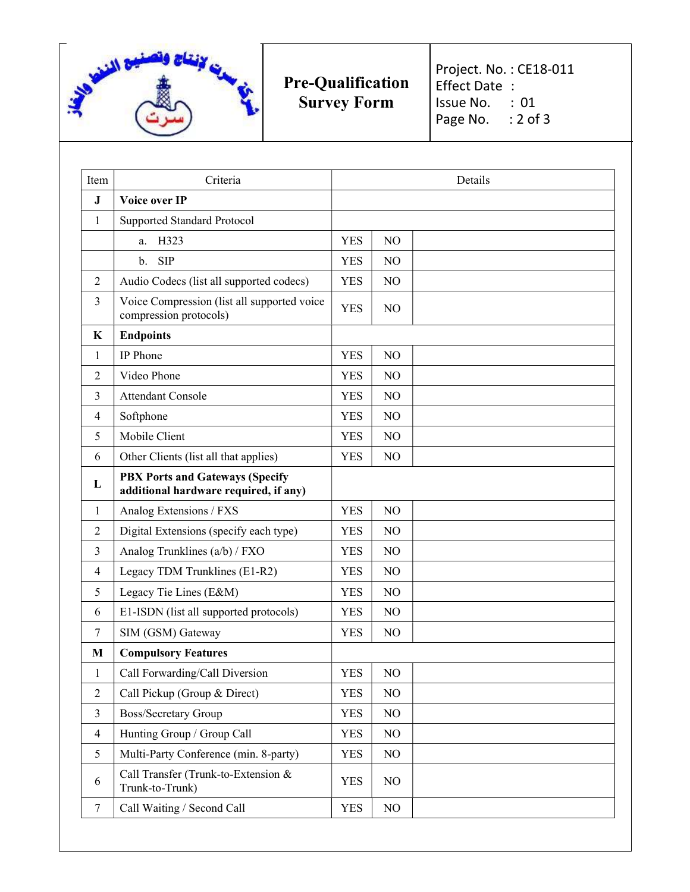

Pre-Qualification Survey Form

Project. No. : CE18-011 Effect Date : Issue No. : 01 Page No. : 2 of 3

| Item           | Criteria                                                                        | Details    |                |  |
|----------------|---------------------------------------------------------------------------------|------------|----------------|--|
| J              | Voice over IP                                                                   |            |                |  |
| 1              | Supported Standard Protocol                                                     |            |                |  |
|                | H323<br>a.                                                                      | <b>YES</b> | N <sub>O</sub> |  |
|                | <b>SIP</b><br>$\mathbf{b}$ .                                                    | <b>YES</b> | NO             |  |
| $\overline{2}$ | Audio Codecs (list all supported codecs)                                        | <b>YES</b> | NO             |  |
| 3              | Voice Compression (list all supported voice<br>compression protocols)           | YES        | N <sub>O</sub> |  |
| K              | <b>Endpoints</b>                                                                |            |                |  |
| 1              | IP Phone                                                                        | <b>YES</b> | N <sub>O</sub> |  |
| 2              | Video Phone                                                                     | <b>YES</b> | NO             |  |
| 3              | <b>Attendant Console</b>                                                        | <b>YES</b> | NO             |  |
| 4              | Softphone                                                                       | <b>YES</b> | N <sub>O</sub> |  |
| 5              | Mobile Client                                                                   | <b>YES</b> | NO             |  |
| 6              | Other Clients (list all that applies)                                           | <b>YES</b> | NO             |  |
| L              | <b>PBX Ports and Gateways (Specify</b><br>additional hardware required, if any) |            |                |  |
| 1              | Analog Extensions / FXS                                                         | <b>YES</b> | N <sub>O</sub> |  |
| 2              | Digital Extensions (specify each type)                                          | <b>YES</b> | N <sub>O</sub> |  |
| 3              | Analog Trunklines (a/b) / FXO                                                   | <b>YES</b> | NO             |  |
| 4              | Legacy TDM Trunklines (E1-R2)                                                   | <b>YES</b> | NO             |  |
| 5              | Legacy Tie Lines (E&M)                                                          | <b>YES</b> | NO             |  |
| 6              | E1-ISDN (list all supported protocols)                                          | <b>YES</b> | NO             |  |
| 7              | SIM (GSM) Gateway                                                               | <b>YES</b> | N <sub>O</sub> |  |
| M              | <b>Compulsory Features</b>                                                      |            |                |  |
| $\mathbf{1}$   | Call Forwarding/Call Diversion                                                  | <b>YES</b> | NO             |  |
| $\overline{2}$ | Call Pickup (Group & Direct)                                                    | <b>YES</b> | NO             |  |
| 3              | <b>Boss/Secretary Group</b>                                                     | <b>YES</b> | NO             |  |
| $\overline{4}$ | Hunting Group / Group Call                                                      | <b>YES</b> | NO             |  |
| 5              | Multi-Party Conference (min. 8-party)                                           | <b>YES</b> | NO             |  |
| 6              | Call Transfer (Trunk-to-Extension &<br>Trunk-to-Trunk)                          | <b>YES</b> | NO             |  |
| $\tau$         | Call Waiting / Second Call                                                      | <b>YES</b> | NO             |  |